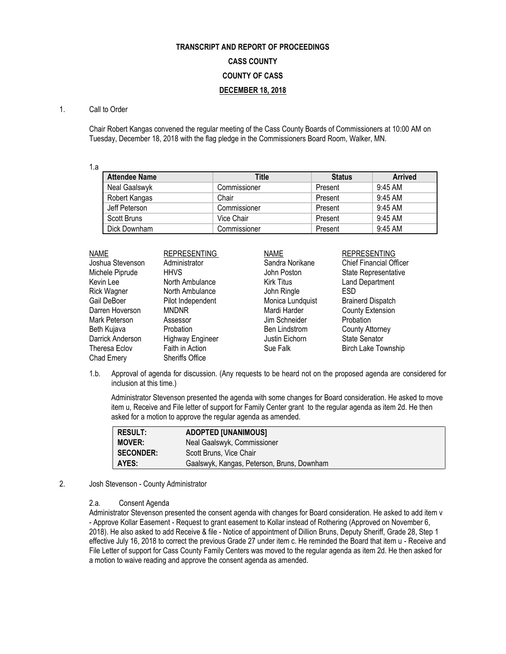# **TRANSCRIPT AND REPORT OF PROCEEDINGS CASS COUNTY COUNTY OF CASS DECEMBER 18, 2018**

# 1. Call to Order

Chair Robert Kangas convened the regular meeting of the Cass County Boards of Commissioners at 10:00 AM on Tuesday, December 18, 2018 with the flag pledge in the Commissioners Board Room, Walker, MN.

1.a

| <b>Attendee Name</b> | Title        | <b>Status</b> | <b>Arrived</b> |
|----------------------|--------------|---------------|----------------|
| Neal Gaalswyk        | Commissioner | Present       | $9:45$ AM      |
| Robert Kangas        | Chair        | Present       | 9:45 AM        |
| Jeff Peterson        | Commissioner | Present       | 9:45 AM        |
| Scott Bruns          | Vice Chair   | Present       | 9:45 AM        |
| Dick Downham         | Commissioner | Present       | 9:45 AM        |

| <b>NAME</b>        | <b>REPRESENTING</b>     | <b>NAME</b>          | <b>REPRESENTING</b>            |
|--------------------|-------------------------|----------------------|--------------------------------|
| Joshua Stevenson   | Administrator           | Sandra Norikane      | <b>Chief Financial Officer</b> |
| Michele Piprude    | <b>HHVS</b>             | John Poston          | State Representative           |
| Kevin Lee          | North Ambulance         | Kirk Titus           | <b>Land Department</b>         |
| <b>Rick Wagner</b> | North Ambulance         | John Ringle          | <b>ESD</b>                     |
| Gail DeBoer        | Pilot Independent       | Monica Lundquist     | <b>Brainerd Dispatch</b>       |
| Darren Hoverson    | <b>MNDNR</b>            | Mardi Harder         | <b>County Extension</b>        |
| Mark Peterson      | Assessor                | Jim Schneider        | <b>Probation</b>               |
| Beth Kujava        | <b>Probation</b>        | <b>Ben Lindstrom</b> | <b>County Attorney</b>         |
| Darrick Anderson   | <b>Highway Engineer</b> | Justin Eichorn       | <b>State Senator</b>           |
| Theresa Eclov      | Faith in Action         | Sue Falk             | <b>Birch Lake Township</b>     |
| Chad Emery         | <b>Sheriffs Office</b>  |                      |                                |

1.b. Approval of agenda for discussion. (Any requests to be heard not on the proposed agenda are considered for inclusion at this time.)

Administrator Stevenson presented the agenda with some changes for Board consideration. He asked to move item u, Receive and File letter of support for Family Center grant to the regular agenda as item 2d. He then asked for a motion to approve the regular agenda as amended.

| <b>RESULT:</b>   | <b>ADOPTED [UNANIMOUS]</b>                 |
|------------------|--------------------------------------------|
| <b>MOVER:</b>    | Neal Gaalswyk, Commissioner                |
| <b>SECONDER:</b> | Scott Bruns, Vice Chair                    |
| AYES:            | Gaalswyk, Kangas, Peterson, Bruns, Downham |

2. Josh Stevenson - County Administrator

# 2.a. Consent Agenda

Administrator Stevenson presented the consent agenda with changes for Board consideration. He asked to add item v - Approve Kollar Easement - Request to grant easement to Kollar instead of Rothering (Approved on November 6, 2018). He also asked to add Receive & file - Notice of appointment of Dillion Bruns, Deputy Sheriff, Grade 28, Step 1 effective July 16, 2018 to correct the previous Grade 27 under item c. He reminded the Board that item u - Receive and File Letter of support for Cass County Family Centers was moved to the regular agenda as item 2d. He then asked for a motion to waive reading and approve the consent agenda as amended.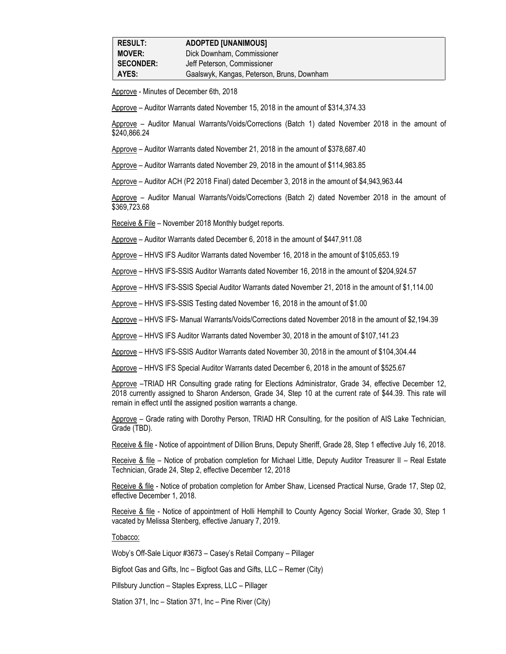Approve - Minutes of December 6th, 2018

Approve – Auditor Warrants dated November 15, 2018 in the amount of \$314,374.33

Approve – Auditor Manual Warrants/Voids/Corrections (Batch 1) dated November 2018 in the amount of \$240,866.24

Approve – Auditor Warrants dated November 21, 2018 in the amount of \$378,687.40

Approve – Auditor Warrants dated November 29, 2018 in the amount of \$114,983.85

Approve – Auditor ACH (P2 2018 Final) dated December 3, 2018 in the amount of \$4,943,963.44

Approve – Auditor Manual Warrants/Voids/Corrections (Batch 2) dated November 2018 in the amount of \$369,723.68

Receive & File – November 2018 Monthly budget reports.

Approve – Auditor Warrants dated December 6, 2018 in the amount of \$447,911.08

Approve – HHVS IFS Auditor Warrants dated November 16, 2018 in the amount of \$105,653.19

Approve – HHVS IFS-SSIS Auditor Warrants dated November 16, 2018 in the amount of \$204,924.57

Approve – HHVS IFS-SSIS Special Auditor Warrants dated November 21, 2018 in the amount of \$1,114.00

Approve – HHVS IFS-SSIS Testing dated November 16, 2018 in the amount of \$1.00

Approve – HHVS IFS- Manual Warrants/Voids/Corrections dated November 2018 in the amount of \$2,194.39

Approve – HHVS IFS Auditor Warrants dated November 30, 2018 in the amount of \$107,141.23

Approve – HHVS IFS-SSIS Auditor Warrants dated November 30, 2018 in the amount of \$104,304.44

Approve – HHVS IFS Special Auditor Warrants dated December 6, 2018 in the amount of \$525.67

Approve –TRIAD HR Consulting grade rating for Elections Administrator, Grade 34, effective December 12, 2018 currently assigned to Sharon Anderson, Grade 34, Step 10 at the current rate of \$44.39. This rate will remain in effect until the assigned position warrants a change.

Approve – Grade rating with Dorothy Person, TRIAD HR Consulting, for the position of AIS Lake Technician, Grade (TBD).

Receive & file - Notice of appointment of Dillion Bruns, Deputy Sheriff, Grade 28, Step 1 effective July 16, 2018.

Receive & file – Notice of probation completion for Michael Little, Deputy Auditor Treasurer II – Real Estate Technician, Grade 24, Step 2, effective December 12, 2018

Receive & file - Notice of probation completion for Amber Shaw, Licensed Practical Nurse, Grade 17, Step 02, effective December 1, 2018.

Receive & file - Notice of appointment of Holli Hemphill to County Agency Social Worker, Grade 30, Step 1 vacated by Melissa Stenberg, effective January 7, 2019.

Tobacco:

Woby's Off-Sale Liquor #3673 – Casey's Retail Company – Pillager

Bigfoot Gas and Gifts, Inc – Bigfoot Gas and Gifts, LLC – Remer (City)

Pillsbury Junction – Staples Express, LLC – Pillager

Station 371, Inc – Station 371, Inc – Pine River (City)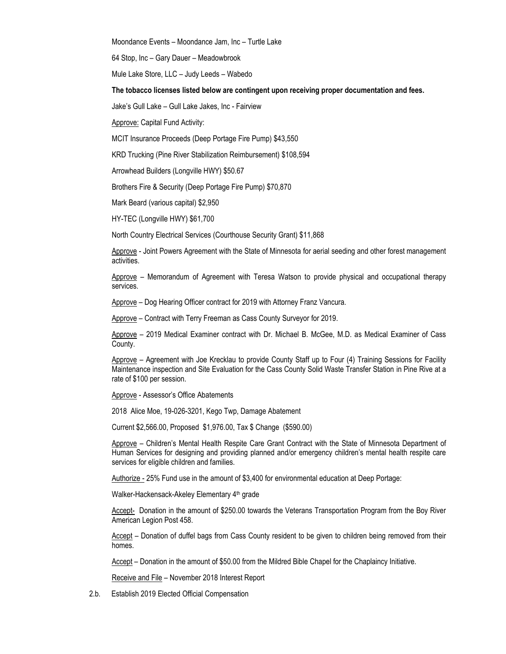Moondance Events – Moondance Jam, Inc – Turtle Lake

64 Stop, Inc – Gary Dauer – Meadowbrook

Mule Lake Store, LLC – Judy Leeds – Wabedo

**The tobacco licenses listed below are contingent upon receiving proper documentation and fees.**

Jake's Gull Lake – Gull Lake Jakes, Inc - Fairview

Approve: Capital Fund Activity:

MCIT Insurance Proceeds (Deep Portage Fire Pump) \$43,550

KRD Trucking (Pine River Stabilization Reimbursement) \$108,594

Arrowhead Builders (Longville HWY) \$50.67

Brothers Fire & Security (Deep Portage Fire Pump) \$70,870

Mark Beard (various capital) \$2,950

HY-TEC (Longville HWY) \$61,700

North Country Electrical Services (Courthouse Security Grant) \$11,868

Approve - Joint Powers Agreement with the State of Minnesota for aerial seeding and other forest management activities.

Approve – Memorandum of Agreement with Teresa Watson to provide physical and occupational therapy services.

Approve – Dog Hearing Officer contract for 2019 with Attorney Franz Vancura.

Approve – Contract with Terry Freeman as Cass County Surveyor for 2019.

Approve – 2019 Medical Examiner contract with Dr. Michael B. McGee, M.D. as Medical Examiner of Cass County.

Approve – Agreement with Joe Krecklau to provide County Staff up to Four (4) Training Sessions for Facility Maintenance inspection and Site Evaluation for the Cass County Solid Waste Transfer Station in Pine Rive at a rate of \$100 per session.

Approve - Assessor's Office Abatements

2018 Alice Moe, 19-026-3201, Kego Twp, Damage Abatement

Current \$2,566.00, Proposed \$1,976.00, Tax \$ Change (\$590.00)

Approve – Children's Mental Health Respite Care Grant Contract with the State of Minnesota Department of Human Services for designing and providing planned and/or emergency children's mental health respite care services for eligible children and families.

Authorize - 25% Fund use in the amount of \$3,400 for environmental education at Deep Portage:

Walker-Hackensack-Akeley Elementary 4<sup>th</sup> grade

Accept- Donation in the amount of \$250.00 towards the Veterans Transportation Program from the Boy River American Legion Post 458.

Accept – Donation of duffel bags from Cass County resident to be given to children being removed from their homes.

Accept – Donation in the amount of \$50.00 from the Mildred Bible Chapel for the Chaplaincy Initiative.

Receive and File – November 2018 Interest Report

2.b. Establish 2019 Elected Official Compensation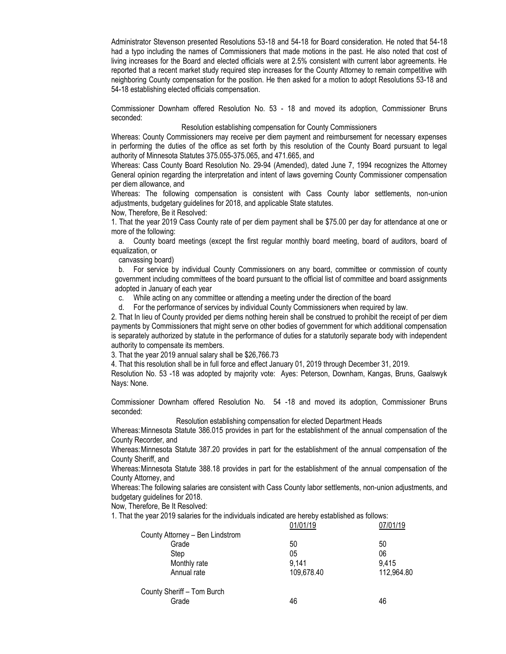Administrator Stevenson presented Resolutions 53-18 and 54-18 for Board consideration. He noted that 54-18 had a typo including the names of Commissioners that made motions in the past. He also noted that cost of living increases for the Board and elected officials were at 2.5% consistent with current labor agreements. He reported that a recent market study required step increases for the County Attorney to remain competitive with neighboring County compensation for the position. He then asked for a motion to adopt Resolutions 53-18 and 54-18 establishing elected officials compensation.

Commissioner Downham offered Resolution No. 53 - 18 and moved its adoption, Commissioner Bruns seconded:

#### Resolution establishing compensation for County Commissioners

Whereas: County Commissioners may receive per diem payment and reimbursement for necessary expenses in performing the duties of the office as set forth by this resolution of the County Board pursuant to legal authority of Minnesota Statutes 375.055-375.065, and 471.665, and

Whereas: Cass County Board Resolution No. 29-94 (Amended), dated June 7, 1994 recognizes the Attorney General opinion regarding the interpretation and intent of laws governing County Commissioner compensation per diem allowance, and

Whereas: The following compensation is consistent with Cass County labor settlements, non-union adjustments, budgetary guidelines for 2018, and applicable State statutes.

Now, Therefore, Be it Resolved:

1. That the year 2019 Cass County rate of per diem payment shall be \$75.00 per day for attendance at one or more of the following:

a. County board meetings (except the first regular monthly board meeting, board of auditors, board of equalization, or

canvassing board)

b. For service by individual County Commissioners on any board, committee or commission of county government including committees of the board pursuant to the official list of committee and board assignments adopted in January of each year

c. While acting on any committee or attending a meeting under the direction of the board

d. For the performance of services by individual County Commissioners when required by law.

2. That In lieu of County provided per diems nothing herein shall be construed to prohibit the receipt of per diem payments by Commissioners that might serve on other bodies of government for which additional compensation is separately authorized by statute in the performance of duties for a statutorily separate body with independent authority to compensate its members.

3. That the year 2019 annual salary shall be \$26,766.73

4. That this resolution shall be in full force and effect January 01, 2019 through December 31, 2019.

Resolution No. 53 -18 was adopted by majority vote: Ayes: Peterson, Downham, Kangas, Bruns, Gaalswyk Nays: None.

Commissioner Downham offered Resolution No. 54 -18 and moved its adoption, Commissioner Bruns seconded:

Resolution establishing compensation for elected Department Heads

Whereas:Minnesota Statute 386.015 provides in part for the establishment of the annual compensation of the County Recorder, and

Whereas:Minnesota Statute 387.20 provides in part for the establishment of the annual compensation of the County Sheriff, and

Whereas:Minnesota Statute 388.18 provides in part for the establishment of the annual compensation of the County Attorney, and

Whereas:The following salaries are consistent with Cass County labor settlements, non-union adjustments, and budgetary guidelines for 2018.

Now, Therefore, Be It Resolved:

1. That the year 2019 salaries for the individuals indicated are hereby established as follows:

|                                 | 01/01/19   | 07/01/19   |
|---------------------------------|------------|------------|
| County Attorney - Ben Lindstrom |            |            |
| Grade                           | 50         | 50         |
| Step                            | 05         | 06         |
| Monthly rate                    | 9,141      | 9,415      |
| Annual rate                     | 109,678.40 | 112,964.80 |
| County Sheriff - Tom Burch      |            |            |
| Grade                           | 46         | 46         |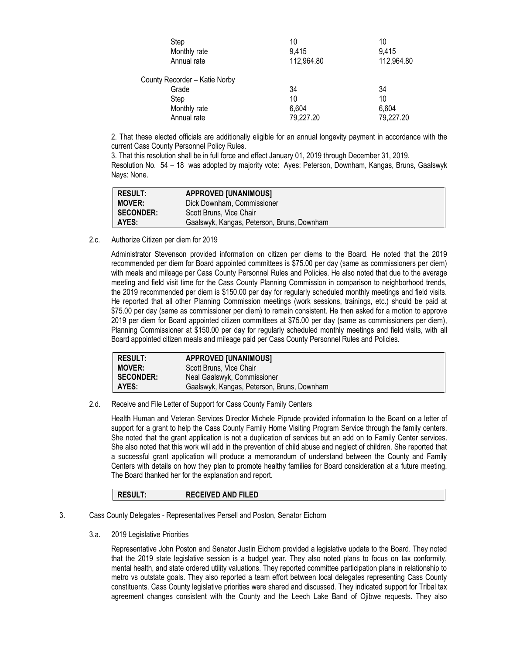| Step                          | 10         | 10         |
|-------------------------------|------------|------------|
| Monthly rate                  | 9,415      | 9,415      |
| Annual rate                   | 112,964.80 | 112,964.80 |
| County Recorder - Katie Norby |            |            |
| Grade                         | 34         | 34         |
| Step                          | 10         | 10         |
| Monthly rate                  | 6,604      | 6,604      |
| Annual rate                   | 79,227.20  | 79,227.20  |

2. That these elected officials are additionally eligible for an annual longevity payment in accordance with the current Cass County Personnel Policy Rules.

3. That this resolution shall be in full force and effect January 01, 2019 through December 31, 2019.

Resolution No. 54 – 18 was adopted by majority vote: Ayes: Peterson, Downham, Kangas, Bruns, Gaalswyk Nays: None.

| <b>RESULT:</b>   | <b>APPROVED [UNANIMOUS]</b>                |
|------------------|--------------------------------------------|
| <b>MOVER:</b>    | Dick Downham, Commissioner                 |
| <b>SECONDER:</b> | Scott Bruns, Vice Chair                    |
| AYES:            | Gaalswyk, Kangas, Peterson, Bruns, Downham |

2.c. Authorize Citizen per diem for 2019

Administrator Stevenson provided information on citizen per diems to the Board. He noted that the 2019 recommended per diem for Board appointed committees is \$75.00 per day (same as commissioners per diem) with meals and mileage per Cass County Personnel Rules and Policies. He also noted that due to the average meeting and field visit time for the Cass County Planning Commission in comparison to neighborhood trends, the 2019 recommended per diem is \$150.00 per day for regularly scheduled monthly meetings and field visits. He reported that all other Planning Commission meetings (work sessions, trainings, etc.) should be paid at \$75.00 per day (same as commissioner per diem) to remain consistent. He then asked for a motion to approve 2019 per diem for Board appointed citizen committees at \$75.00 per day (same as commissioners per diem), Planning Commissioner at \$150.00 per day for regularly scheduled monthly meetings and field visits, with all Board appointed citizen meals and mileage paid per Cass County Personnel Rules and Policies.

| <b>RESULT:</b>   | <b>APPROVED [UNANIMOUS]</b>                |
|------------------|--------------------------------------------|
| <b>MOVER:</b>    | Scott Bruns, Vice Chair                    |
| <b>SECONDER:</b> | Neal Gaalswyk, Commissioner                |
| AYES:            | Gaalswyk, Kangas, Peterson, Bruns, Downham |

2.d. Receive and File Letter of Support for Cass County Family Centers

Health Human and Veteran Services Director Michele Piprude provided information to the Board on a letter of support for a grant to help the Cass County Family Home Visiting Program Service through the family centers. She noted that the grant application is not a duplication of services but an add on to Family Center services. She also noted that this work will add in the prevention of child abuse and neglect of children. She reported that a successful grant application will produce a memorandum of understand between the County and Family Centers with details on how they plan to promote healthy families for Board consideration at a future meeting. The Board thanked her for the explanation and report.

# **RESULT: RECEIVED AND FILED**

- 3. Cass County Delegates Representatives Persell and Poston, Senator Eichorn
	- 3.a. 2019 Legislative Priorities

Representative John Poston and Senator Justin Eichorn provided a legislative update to the Board. They noted that the 2019 state legislative session is a budget year. They also noted plans to focus on tax conformity, mental health, and state ordered utility valuations. They reported committee participation plans in relationship to metro vs outstate goals. They also reported a team effort between local delegates representing Cass County constituents. Cass County legislative priorities were shared and discussed. They indicated support for Tribal tax agreement changes consistent with the County and the Leech Lake Band of Ojibwe requests. They also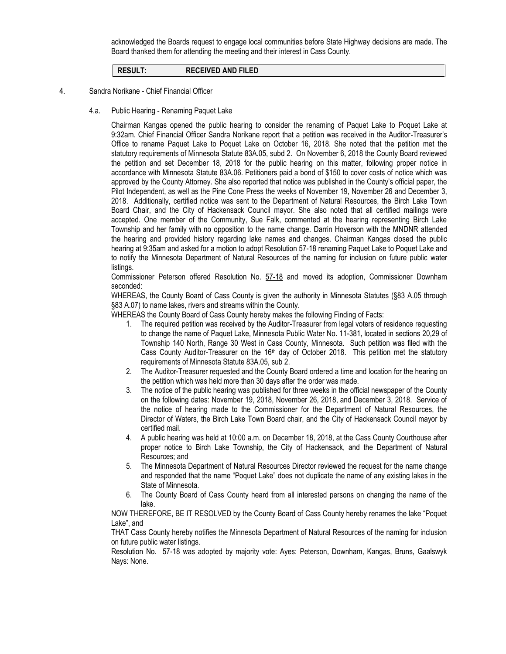acknowledged the Boards request to engage local communities before State Highway decisions are made. The Board thanked them for attending the meeting and their interest in Cass County.

**RESULT: RECEIVED AND FILED**

#### 4. Sandra Norikane - Chief Financial Officer

## 4.a. Public Hearing - Renaming Paquet Lake

Chairman Kangas opened the public hearing to consider the renaming of Paquet Lake to Poquet Lake at 9:32am. Chief Financial Officer Sandra Norikane report that a petition was received in the Auditor-Treasurer's Office to rename Paquet Lake to Poquet Lake on October 16, 2018. She noted that the petition met the statutory requirements of Minnesota Statute 83A.05, subd 2. On November 6, 2018 the County Board reviewed the petition and set December 18, 2018 for the public hearing on this matter, following proper notice in accordance with Minnesota Statute 83A.06. Petitioners paid a bond of \$150 to cover costs of notice which was approved by the County Attorney. She also reported that notice was published in the County's official paper, the Pilot Independent, as well as the Pine Cone Press the weeks of November 19, November 26 and December 3, 2018. Additionally, certified notice was sent to the Department of Natural Resources, the Birch Lake Town Board Chair, and the City of Hackensack Council mayor. She also noted that all certified mailings were accepted. One member of the Community, Sue Falk, commented at the hearing representing Birch Lake Township and her family with no opposition to the name change. Darrin Hoverson with the MNDNR attended the hearing and provided history regarding lake names and changes. Chairman Kangas closed the public hearing at 9:35am and asked for a motion to adopt Resolution 57-18 renaming Paquet Lake to Poquet Lake and to notify the Minnesota Department of Natural Resources of the naming for inclusion on future public water listings.

Commissioner Peterson offered Resolution No. 57-18 and moved its adoption, Commissioner Downham seconded:

WHEREAS, the County Board of Cass County is given the authority in Minnesota Statutes (§83 A.05 through §83 A.07) to name lakes, rivers and streams within the County.

WHEREAS the County Board of Cass County hereby makes the following Finding of Facts:

- 1. The required petition was received by the Auditor-Treasurer from legal voters of residence requesting to change the name of Paquet Lake, Minnesota Public Water No. 11-381, located in sections 20,29 of Township 140 North, Range 30 West in Cass County, Minnesota. Such petition was filed with the Cass County Auditor-Treasurer on the 16<sup>th</sup> day of October 2018. This petition met the statutory requirements of Minnesota Statute 83A.05, sub 2.
- 2. The Auditor-Treasurer requested and the County Board ordered a time and location for the hearing on the petition which was held more than 30 days after the order was made.
- 3. The notice of the public hearing was published for three weeks in the official newspaper of the County on the following dates: November 19, 2018, November 26, 2018, and December 3, 2018. Service of the notice of hearing made to the Commissioner for the Department of Natural Resources, the Director of Waters, the Birch Lake Town Board chair, and the City of Hackensack Council mayor by certified mail.
- 4. A public hearing was held at 10:00 a.m. on December 18, 2018, at the Cass County Courthouse after proper notice to Birch Lake Township, the City of Hackensack, and the Department of Natural Resources; and
- 5. The Minnesota Department of Natural Resources Director reviewed the request for the name change and responded that the name "Poquet Lake" does not duplicate the name of any existing lakes in the State of Minnesota.
- 6. The County Board of Cass County heard from all interested persons on changing the name of the lake.

NOW THEREFORE, BE IT RESOLVED by the County Board of Cass County hereby renames the lake "Poquet Lake", and

THAT Cass County hereby notifies the Minnesota Department of Natural Resources of the naming for inclusion on future public water listings.

Resolution No. 57-18 was adopted by majority vote: Ayes: Peterson, Downham, Kangas, Bruns, Gaalswyk Nays: None.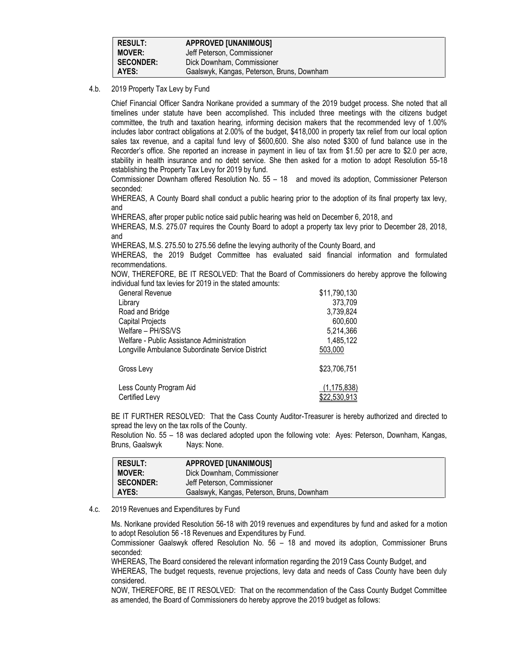| <b>RESULT:</b>   | <b>APPROVED [UNANIMOUS]</b>                |
|------------------|--------------------------------------------|
| <b>MOVER:</b>    | Jeff Peterson, Commissioner                |
| <b>SECONDER:</b> | Dick Downham, Commissioner                 |
| AYES:            | Gaalswyk, Kangas, Peterson, Bruns, Downham |

## 4.b. 2019 Property Tax Levy by Fund

Chief Financial Officer Sandra Norikane provided a summary of the 2019 budget process. She noted that all timelines under statute have been accomplished. This included three meetings with the citizens budget committee, the truth and taxation hearing, informing decision makers that the recommended levy of 1.00% includes labor contract obligations at 2.00% of the budget, \$418,000 in property tax relief from our local option sales tax revenue, and a capital fund levy of \$600,600. She also noted \$300 of fund balance use in the Recorder's office. She reported an increase in payment in lieu of tax from \$1.50 per acre to \$2.0 per acre, stability in health insurance and no debt service. She then asked for a motion to adopt Resolution 55-18 establishing the Property Tax Levy for 2019 by fund.

Commissioner Downham offered Resolution No. 55 – 18 and moved its adoption, Commissioner Peterson seconded:

WHEREAS, A County Board shall conduct a public hearing prior to the adoption of its final property tax levy, and

WHEREAS, after proper public notice said public hearing was held on December 6, 2018, and

WHEREAS, M.S. 275.07 requires the County Board to adopt a property tax levy prior to December 28, 2018, and

WHEREAS, M.S. 275.50 to 275.56 define the levying authority of the County Board, and

WHEREAS, the 2019 Budget Committee has evaluated said financial information and formulated recommendations.

NOW, THEREFORE, BE IT RESOLVED: That the Board of Commissioners do hereby approve the following individual fund tax levies for 2019 in the stated amounts:

| General Revenue                                  | \$11,790,130  |
|--------------------------------------------------|---------------|
| Library                                          | 373,709       |
| Road and Bridge                                  | 3,739,824     |
| Capital Projects                                 | 600,600       |
| Welfare - PH/SS/VS                               | 5,214,366     |
| Welfare - Public Assistance Administration       | 1,485,122     |
| Longville Ambulance Subordinate Service District | 503.000       |
| Gross Levy                                       | \$23,706,751  |
| Less County Program Aid                          | (1, 175, 838) |
| Certified Levy                                   | \$22,530,913  |

BE IT FURTHER RESOLVED: That the Cass County Auditor-Treasurer is hereby authorized and directed to spread the levy on the tax rolls of the County.

Resolution No. 55 – 18 was declared adopted upon the following vote: Ayes: Peterson, Downham, Kangas, Bruns, Gaalswyk Nays: None.

| <b>RESULT:</b>   | <b>APPROVED [UNANIMOUS]</b>                |
|------------------|--------------------------------------------|
| <b>MOVER:</b>    | Dick Downham, Commissioner                 |
| <b>SECONDER:</b> | Jeff Peterson, Commissioner                |
| AYES:            | Gaalswyk, Kangas, Peterson, Bruns, Downham |

#### 4.c. 2019 Revenues and Expenditures by Fund

Ms. Norikane provided Resolution 56-18 with 2019 revenues and expenditures by fund and asked for a motion to adopt Resolution 56 -18 Revenues and Expenditures by Fund.

Commissioner Gaalswyk offered Resolution No. 56 – 18 and moved its adoption, Commissioner Bruns seconded:

WHEREAS, The Board considered the relevant information regarding the 2019 Cass County Budget, and

WHEREAS, The budget requests, revenue projections, levy data and needs of Cass County have been duly considered.

NOW, THEREFORE, BE IT RESOLVED: That on the recommendation of the Cass County Budget Committee as amended, the Board of Commissioners do hereby approve the 2019 budget as follows: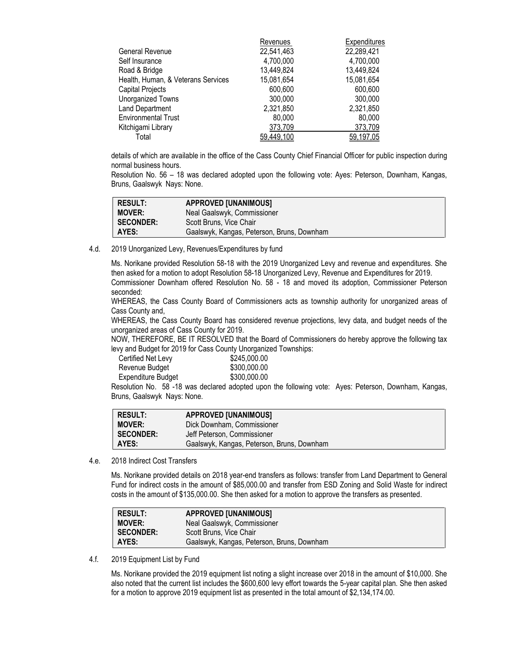|                                    | Revenues   | Expenditures |
|------------------------------------|------------|--------------|
| General Revenue                    | 22,541,463 | 22,289,421   |
| Self Insurance                     | 4,700,000  | 4,700,000    |
| Road & Bridge                      | 13,449,824 | 13,449,824   |
| Health, Human, & Veterans Services | 15,081,654 | 15,081,654   |
| Capital Projects                   | 600,600    | 600,600      |
| Unorganized Towns                  | 300,000    | 300,000      |
| Land Department                    | 2,321,850  | 2,321,850    |
| <b>Environmental Trust</b>         | 80,000     | 80,000       |
| Kitchigami Library                 | 373,709    | 373,709      |
| Total                              | 59,449,100 | 59,197,05    |
|                                    |            |              |

details of which are available in the office of the Cass County Chief Financial Officer for public inspection during normal business hours.

Resolution No. 56 – 18 was declared adopted upon the following vote: Ayes: Peterson, Downham, Kangas, Bruns, Gaalswyk Nays: None.

| <b>RESULT:</b>   | <b>APPROVED [UNANIMOUS]</b>                |
|------------------|--------------------------------------------|
| <b>MOVER:</b>    | Neal Gaalswyk, Commissioner                |
| <b>SECONDER:</b> | Scott Bruns, Vice Chair                    |
| AYES:            | Gaalswyk, Kangas, Peterson, Bruns, Downham |

4.d. 2019 Unorganized Levy, Revenues/Expenditures by fund

Ms. Norikane provided Resolution 58-18 with the 2019 Unorganized Levy and revenue and expenditures. She then asked for a motion to adopt Resolution 58-18 Unorganized Levy, Revenue and Expenditures for 2019. Commissioner Downham offered Resolution No. 58 - 18 and moved its adoption, Commissioner Peterson seconded:

WHEREAS, the Cass County Board of Commissioners acts as township authority for unorganized areas of Cass County and,

WHEREAS, the Cass County Board has considered revenue projections, levy data, and budget needs of the unorganized areas of Cass County for 2019.

NOW, THEREFORE, BE IT RESOLVED that the Board of Commissioners do hereby approve the following tax levy and Budget for 2019 for Cass County Unorganized Townships:

| Certified Net Levy | \$245,000.00 |
|--------------------|--------------|
| Revenue Budget     | \$300,000.00 |
| Expenditure Budget | \$300,000.00 |
|                    |              |

Resolution No. 58 -18 was declared adopted upon the following vote: Ayes: Peterson, Downham, Kangas, Bruns, Gaalswyk Nays: None.

| RESULT:       | <b>APPROVED [UNANIMOUS]</b>                |
|---------------|--------------------------------------------|
| <b>MOVER:</b> | Dick Downham, Commissioner                 |
| I SECONDER:   | Jeff Peterson. Commissioner                |
| I AYES:       | Gaalswyk, Kangas, Peterson, Bruns, Downham |

4.e. 2018 Indirect Cost Transfers

Ms. Norikane provided details on 2018 year-end transfers as follows: transfer from Land Department to General Fund for indirect costs in the amount of \$85,000.00 and transfer from ESD Zoning and Solid Waste for indirect costs in the amount of \$135,000.00. She then asked for a motion to approve the transfers as presented.

| <b>RESULT:</b>   | <b>APPROVED [UNANIMOUS]</b>                |
|------------------|--------------------------------------------|
| <b>MOVER:</b>    | Neal Gaalswyk, Commissioner                |
| <b>SECONDER:</b> | Scott Bruns, Vice Chair                    |
| AYES:            | Gaalswyk, Kangas, Peterson, Bruns, Downham |

4.f. 2019 Equipment List by Fund

Ms. Norikane provided the 2019 equipment list noting a slight increase over 2018 in the amount of \$10,000. She also noted that the current list includes the \$600,600 levy effort towards the 5-year capital plan. She then asked for a motion to approve 2019 equipment list as presented in the total amount of \$2,134,174.00.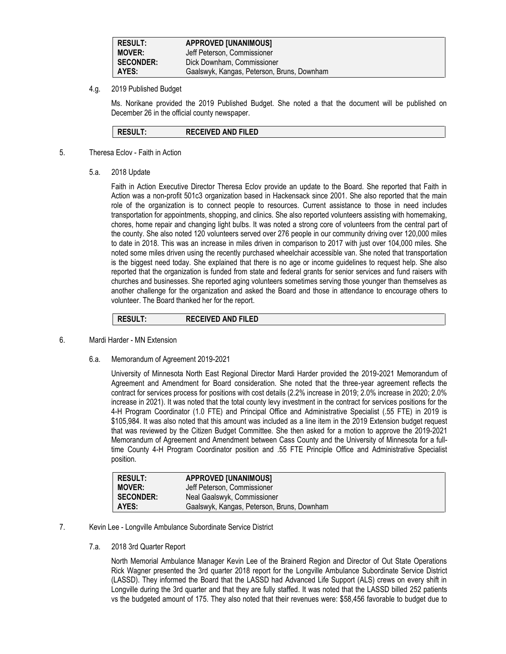| <b>RESULT:</b>   | <b>APPROVED [UNANIMOUS]</b>                |  |
|------------------|--------------------------------------------|--|
| <b>MOVER:</b>    | Jeff Peterson, Commissioner                |  |
| <b>SECONDER:</b> | Dick Downham, Commissioner                 |  |
| AYES:            | Gaalswyk, Kangas, Peterson, Bruns, Downham |  |

## 4.g. 2019 Published Budget

Ms. Norikane provided the 2019 Published Budget. She noted a that the document will be published on December 26 in the official county newspaper.

| <b>RECEIVED AND FILED</b><br><b>RESULT:</b> |  |
|---------------------------------------------|--|
|---------------------------------------------|--|

- 5. Theresa Eclov Faith in Action
	- 5.a. 2018 Update

Faith in Action Executive Director Theresa Eclov provide an update to the Board. She reported that Faith in Action was a non-profit 501c3 organization based in Hackensack since 2001. She also reported that the main role of the organization is to connect people to resources. Current assistance to those in need includes transportation for appointments, shopping, and clinics. She also reported volunteers assisting with homemaking, chores, home repair and changing light bulbs. It was noted a strong core of volunteers from the central part of the county. She also noted 120 volunteers served over 276 people in our community driving over 120,000 miles to date in 2018. This was an increase in miles driven in comparison to 2017 with just over 104,000 miles. She noted some miles driven using the recently purchased wheelchair accessible van. She noted that transportation is the biggest need today. She explained that there is no age or income guidelines to request help. She also reported that the organization is funded from state and federal grants for senior services and fund raisers with churches and businesses. She reported aging volunteers sometimes serving those younger than themselves as another challenge for the organization and asked the Board and those in attendance to encourage others to volunteer. The Board thanked her for the report.

## **RESULT: RECEIVED AND FILED**

#### 6. Mardi Harder - MN Extension

6.a. Memorandum of Agreement 2019-2021

University of Minnesota North East Regional Director Mardi Harder provided the 2019-2021 Memorandum of Agreement and Amendment for Board consideration. She noted that the three-year agreement reflects the contract for services process for positions with cost details (2.2% increase in 2019; 2.0% increase in 2020; 2.0% increase in 2021). It was noted that the total county levy investment in the contract for services positions for the 4-H Program Coordinator (1.0 FTE) and Principal Office and Administrative Specialist (.55 FTE) in 2019 is \$105,984. It was also noted that this amount was included as a line item in the 2019 Extension budget request that was reviewed by the Citizen Budget Committee. She then asked for a motion to approve the 2019-2021 Memorandum of Agreement and Amendment between Cass County and the University of Minnesota for a fulltime County 4-H Program Coordinator position and .55 FTE Principle Office and Administrative Specialist position.

| <b>RESULT:</b>   | <b>APPROVED [UNANIMOUS]</b>                |
|------------------|--------------------------------------------|
| <b>MOVER:</b>    | Jeff Peterson, Commissioner                |
| <b>SECONDER:</b> | Neal Gaalswyk, Commissioner                |
| AYES:            | Gaalswyk, Kangas, Peterson, Bruns, Downham |

- 7. Kevin Lee Longville Ambulance Subordinate Service District
	- 7.a. 2018 3rd Quarter Report

North Memorial Ambulance Manager Kevin Lee of the Brainerd Region and Director of Out State Operations Rick Wagner presented the 3rd quarter 2018 report for the Longville Ambulance Subordinate Service District (LASSD). They informed the Board that the LASSD had Advanced Life Support (ALS) crews on every shift in Longville during the 3rd quarter and that they are fully staffed. It was noted that the LASSD billed 252 patients vs the budgeted amount of 175. They also noted that their revenues were: \$58,456 favorable to budget due to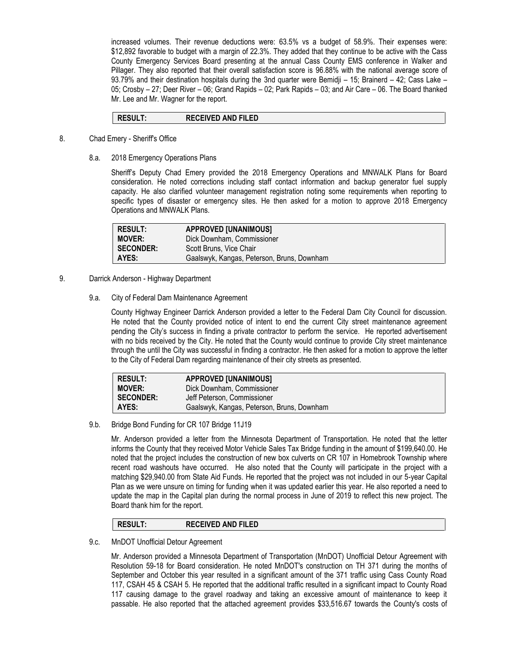increased volumes. Their revenue deductions were: 63.5% vs a budget of 58.9%. Their expenses were: \$12,892 favorable to budget with a margin of 22.3%. They added that they continue to be active with the Cass County Emergency Services Board presenting at the annual Cass County EMS conference in Walker and Pillager. They also reported that their overall satisfaction score is 96.88% with the national average score of 93.79% and their destination hospitals during the 3nd quarter were Bemidji – 15; Brainerd – 42; Cass Lake – 05; Crosby – 27; Deer River – 06; Grand Rapids – 02; Park Rapids – 03; and Air Care – 06. The Board thanked Mr. Lee and Mr. Wagner for the report.

## **RESULT: RECEIVED AND FILED**

- 8. Chad Emery Sheriff's Office
	- 8.a. 2018 Emergency Operations Plans

Sheriff's Deputy Chad Emery provided the 2018 Emergency Operations and MNWALK Plans for Board consideration. He noted corrections including staff contact information and backup generator fuel supply capacity. He also clarified volunteer management registration noting some requirements when reporting to specific types of disaster or emergency sites. He then asked for a motion to approve 2018 Emergency Operations and MNWALK Plans.

| <b>RESULT:</b>   | <b>APPROVED [UNANIMOUS]</b>                |
|------------------|--------------------------------------------|
| <b>MOVER:</b>    | Dick Downham, Commissioner                 |
| <b>SECONDER:</b> | Scott Bruns, Vice Chair                    |
| AYES:            | Gaalswyk, Kangas, Peterson, Bruns, Downham |

- 9. Darrick Anderson Highway Department
	- 9.a. City of Federal Dam Maintenance Agreement

County Highway Engineer Darrick Anderson provided a letter to the Federal Dam City Council for discussion. He noted that the County provided notice of intent to end the current City street maintenance agreement pending the City's success in finding a private contractor to perform the service. He reported advertisement with no bids received by the City. He noted that the County would continue to provide City street maintenance through the until the City was successful in finding a contractor. He then asked for a motion to approve the letter to the City of Federal Dam regarding maintenance of their city streets as presented.

| <b>RESULT:</b>   | <b>APPROVED [UNANIMOUS]</b>                |
|------------------|--------------------------------------------|
| <b>MOVER:</b>    | Dick Downham, Commissioner                 |
| <b>SECONDER:</b> | Jeff Peterson, Commissioner                |
| AYES:            | Gaalswyk, Kangas, Peterson, Bruns, Downham |

9.b. Bridge Bond Funding for CR 107 Bridge 11J19

Mr. Anderson provided a letter from the Minnesota Department of Transportation. He noted that the letter informs the County that they received Motor Vehicle Sales Tax Bridge funding in the amount of \$199,640.00. He noted that the project includes the construction of new box culverts on CR 107 in Homebrook Township where recent road washouts have occurred. He also noted that the County will participate in the project with a matching \$29,940.00 from State Aid Funds. He reported that the project was not included in our 5-year Capital Plan as we were unsure on timing for funding when it was updated earlier this year. He also reported a need to update the map in the Capital plan during the normal process in June of 2019 to reflect this new project. The Board thank him for the report.

# **RESULT: RECEIVED AND FILED**

9.c. MnDOT Unofficial Detour Agreement

Mr. Anderson provided a Minnesota Department of Transportation (MnDOT) Unofficial Detour Agreement with Resolution 59-18 for Board consideration. He noted MnDOT's construction on TH 371 during the months of September and October this year resulted in a significant amount of the 371 traffic using Cass County Road 117, CSAH 45 & CSAH 5. He reported that the additional traffic resulted in a significant impact to County Road 117 causing damage to the gravel roadway and taking an excessive amount of maintenance to keep it passable. He also reported that the attached agreement provides \$33,516.67 towards the County's costs of